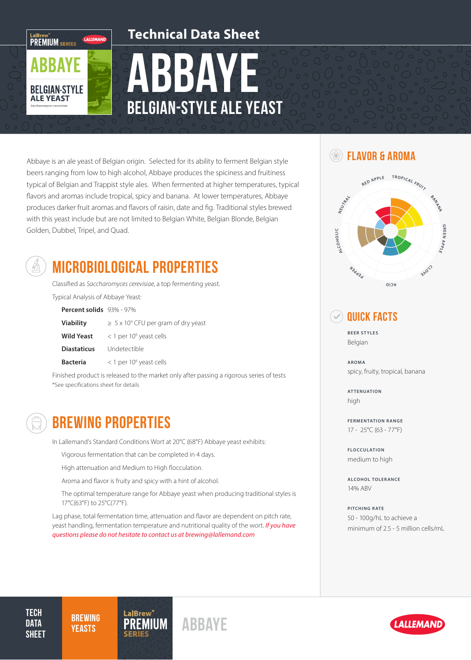### **Technical Data Sheet**

BBAYEE Belgian-Style Ale Yeast

Abbaye is an ale yeast of Belgian origin. Selected for its ability to ferment Belgian style beers ranging from low to high alcohol, Abbaye produces the spiciness and fruitiness typical of Belgian and Trappist style ales. When fermented at higher temperatures, typical flavors and aromas include tropical, spicy and banana. At lower temperatures, Abbaye produces darker fruit aromas and flavors of raisin, date and fig. Traditional styles brewed with this yeast include but are not limited to Belgian White, Belgian Blonde, Belgian Golden, Dubbel, Tripel, and Quad.



LaIBrew<sup>®</sup><br>PREMIUM SERIES

**BBAYE** 

**BELGIAN-STYLE ALE YEAST** 

# MICROBIOLOGICAL PROPERTIES

Classified as Saccharomyces cerevisiae, a top fermenting yeast. Typical Analysis of Abbaye Yeast:

| Percent solids 93% - 97% |                                                |
|--------------------------|------------------------------------------------|
| <b>Viability</b>         | $\geq 5 \times 10^9$ CFU per gram of dry yeast |
| <b>Wild Yeast</b>        | $<$ 1 per 10 <sup>6</sup> yeast cells          |
| <b>Diastaticus</b>       | Undetectible                                   |
| <b>Bacteria</b>          | $<$ 1 per 10 <sup>6</sup> yeast cells          |

Finished product is released to the market only after passing a rigorous series of tests \*See specifications sheet for details

# BREWING PROPERTIES

In Lallemand's Standard Conditions Wort at 20°C (68°F) Abbaye yeast exhibits:

Vigorous fermentation that can be completed in 4 days.

High attenuation and Medium to High flocculation.

Aroma and flavor is fruity and spicy with a hint of alcohol.

The optimal temperature range for Abbaye yeast when producing traditional styles is 17°C(63°F) to 25°C(77°F).

Lag phase, total fermentation time, attenuation and flavor are dependent on pitch rate, yeast handling, fermentation temperature and nutritional quality of the wort. *If you have questions please do not hesitate to contact us at brewing@lallemand.com*

### **SEXT FLAVOR & AROMA**



### Quick Facts

**BEER STYLES** Belgian

**AROMA** spicy, fruity, tropical, banana

**ATTENUATION** high

**FERMENTATION RANGE** 17 - 25°C (63 - 77°F)

**FLOCCULATION** medium to high

**ALCOHOL TOLERANCE** 14% ABV

**PITCHING RATE** 50 - 100g/hL to achieve a minimum of 2.5 - 5 million cells/mL

**TECH DATA SHEET** 

**BREWING**